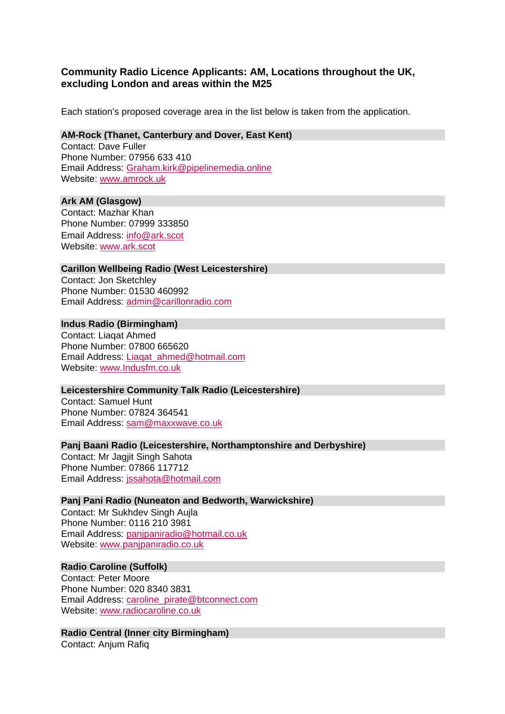# **Community Radio Licence Applicants: AM, Locations throughout the UK, excluding London and areas within the M25**

Each station's proposed coverage area in the list below is taken from the application.

#### **AM-Rock (Thanet, Canterbury and Dover, East Kent)**

Contact: Dave Fuller Phone Number: 07956 633 410 Email Address: Graham.kirk@pipelinemedia.online Website: www.amrock.uk

### **Ark AM (Glasgow)**

Contact: Mazhar Khan Phone Number: 07999 333850 Email Address: info@ark.scot Website: www.ark.scot

### **Carillon Wellbeing Radio (West Leicestershire)**

Contact: Jon Sketchley Phone Number: 01530 460992 Email Address: admin@carillonradio.com

### **Indus Radio (Birmingham)**

Contact: Liaqat Ahmed Phone Number: 07800 665620 Email Address: Liaqat\_ahmed@hotmail.com Website: www.Indusfm.co.uk

#### **Leicestershire Community Talk Radio (Leicestershire)**

Contact: Samuel Hunt Phone Number: 07824 364541 Email Address: sam@maxxwave.co.uk

## **Panj Baani Radio (Leicestershire, Northamptonshire and Derbyshire)**

Contact: Mr Jagjit Singh Sahota Phone Number: 07866 117712 Email Address: jssahota@hotmail.com

## **Panj Pani Radio (Nuneaton and Bedworth, Warwickshire)**

Contact: Mr Sukhdev Singh Aujla Phone Number: 0116 210 3981 Email Address: panjpaniradio@hotmail.co.uk Website: www.panjpaniradio.co.uk

## **Radio Caroline (Suffolk)**

Contact: Peter Moore Phone Number: 020 8340 3831 Email Address: caroline\_pirate@btconnect.com Website: www.radiocaroline.co.uk

#### **Radio Central (Inner city Birmingham)**  Contact: Anjum Rafiq